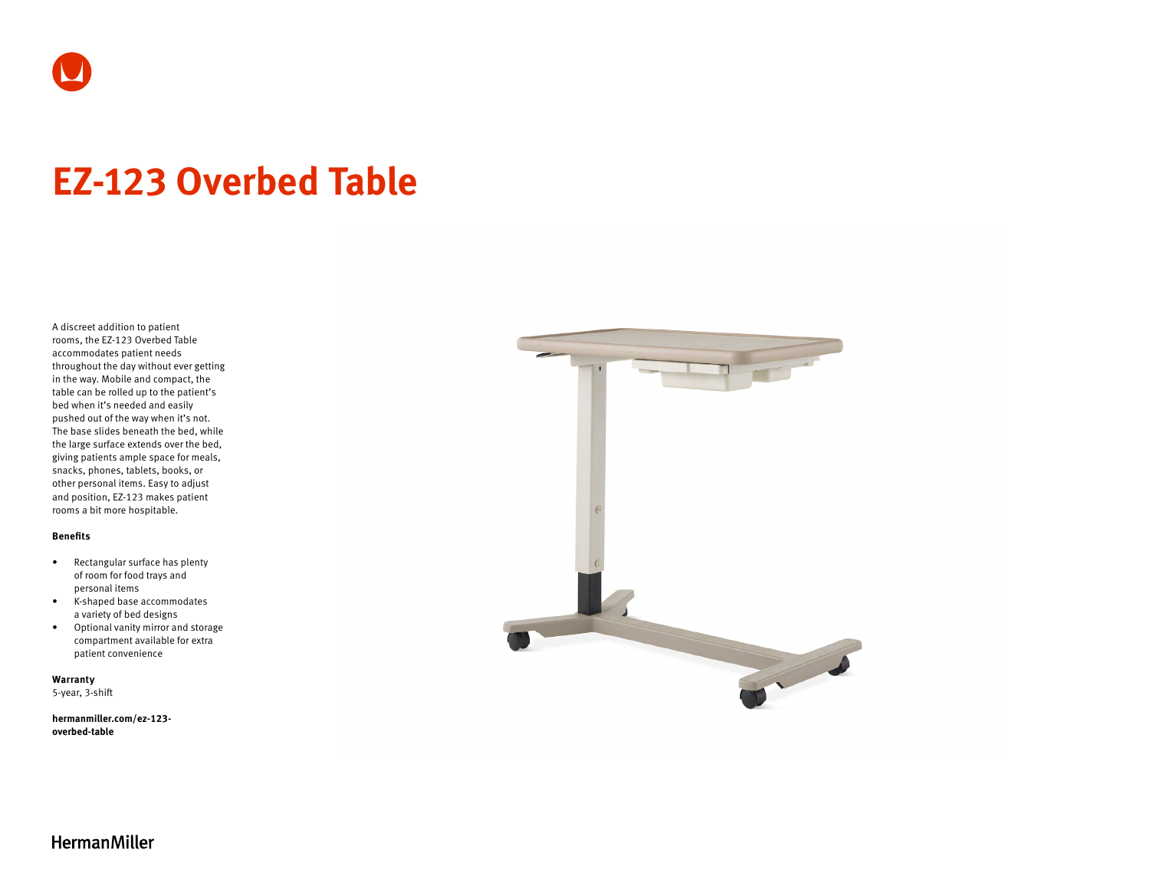

# **EZ-123 Overbed Table**

A discreet addition to patient rooms, the EZ-123 Overbed Table accommodates patient needs throughout the day without ever getting in the way. Mobile and compact, the table can be rolled up to the patient's bed when it's needed and easily pushed out of the way when it's not. The base slides beneath the bed, while the large surface extends over the bed, giving patients ample space for meals, snacks, phones, tablets, books, or other personal items. Easy to adjust and position, EZ-123 makes patient rooms a bit more hospitable.

#### **Benefits**

- Rectangular surface has plenty of room for food trays and personal items
- K-shaped base accommodates a variety of bed designs
- Optional vanity mirror and storage compartment available for extra patient convenience

**Warranty**  5-year, 3-shift

**[hermanmiller.com/ez-123](http://hermanmiller.com/ez-123-overbed-table) [overbed-table](http://hermanmiller.com/ez-123-overbed-table)**



**HermanMiller**